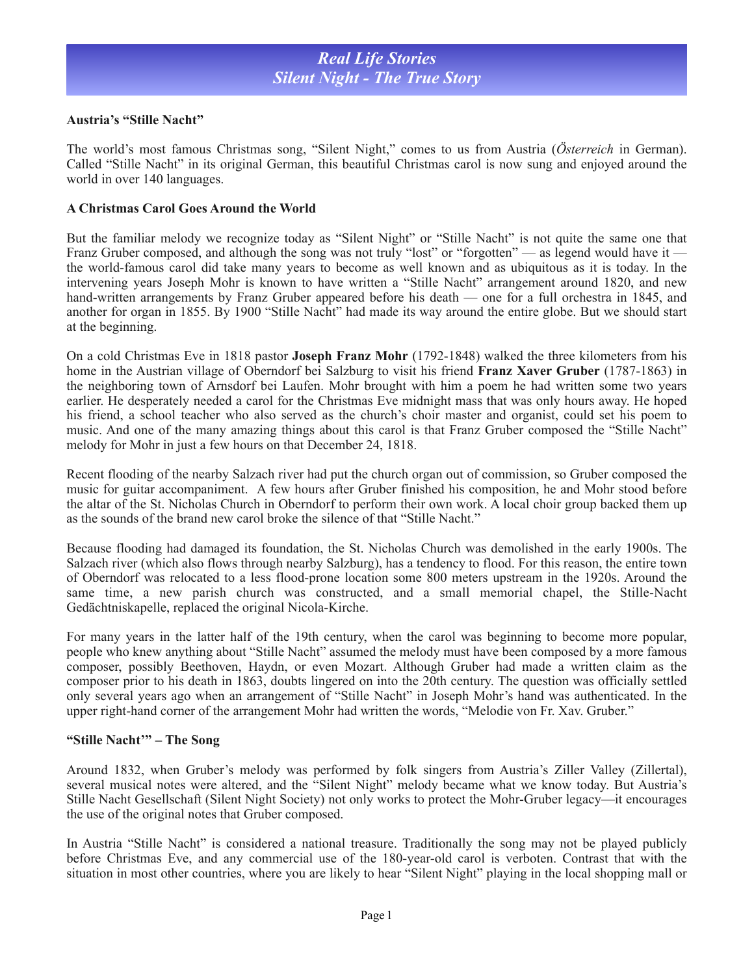## *Real Life Stories Silent Night - The True Story*

### **Austria's "Stille Nacht"**

The world's most famous Christmas song, "Silent Night," comes to us from Austria (*Österreich* in German). Called "Stille Nacht" in its original German, this beautiful Christmas carol is now sung and enjoyed around the world in over 140 languages.

#### **A Christmas Carol Goes Around the World**

But the familiar melody we recognize today as "Silent Night" or "Stille Nacht" is not quite the same one that Franz Gruber composed, and although the song was not truly "lost" or "forgotten" — as legend would have it the world-famous carol did take many years to become as well known and as ubiquitous as it is today. In the intervening years Joseph Mohr is known to have written a "Stille Nacht" arrangement around 1820, and new hand-written arrangements by Franz Gruber appeared before his death — one for a full orchestra in 1845, and another for organ in 1855. By 1900 "Stille Nacht" had made its way around the entire globe. But we should start at the beginning.

On a cold Christmas Eve in 1818 pastor **Joseph Franz Mohr** (1792-1848) walked the three kilometers from his home in the Austrian village of Oberndorf bei Salzburg to visit his friend **Franz Xaver Gruber** (1787-1863) in the neighboring town of Arnsdorf bei Laufen. Mohr brought with him a poem he had written some two years earlier. He desperately needed a carol for the Christmas Eve midnight mass that was only hours away. He hoped his friend, a school teacher who also served as the church's choir master and organist, could set his poem to music. And one of the many amazing things about this carol is that Franz Gruber composed the "Stille Nacht" melody for Mohr in just a few hours on that December 24, 1818.

Recent flooding of the nearby Salzach river had put the church organ out of commission, so Gruber composed the music for guitar accompaniment. A few hours after Gruber finished his composition, he and Mohr stood before the altar of the St. Nicholas Church in Oberndorf to perform their own work. A local choir group backed them up as the sounds of the brand new carol broke the silence of that "Stille Nacht."

Because flooding had damaged its foundation, the St. Nicholas Church was demolished in the early 1900s. The Salzach river (which also flows through nearby Salzburg), has a tendency to flood. For this reason, the entire town of Oberndorf was relocated to a less flood-prone location some 800 meters upstream in the 1920s. Around the same time, a new parish church was constructed, and a small memorial chapel, the Stille-Nacht Gedächtniskapelle, replaced the original Nicola-Kirche.

For many years in the latter half of the 19th century, when the carol was beginning to become more popular, people who knew anything about "Stille Nacht" assumed the melody must have been composed by a more famous composer, possibly Beethoven, Haydn, or even Mozart. Although Gruber had made a written claim as the composer prior to his death in 1863, doubts lingered on into the 20th century. The question was officially settled only several years ago when an arrangement of "Stille Nacht" in Joseph Mohr's hand was authenticated. In the upper right-hand corner of the arrangement Mohr had written the words, "Melodie von Fr. Xav. Gruber."

#### **"Stille Nacht'" – The Song**

Around 1832, when Gruber's melody was performed by folk singers from Austria's Ziller Valley (Zillertal), several musical notes were altered, and the "Silent Night" melody became what we know today. But Austria's Stille Nacht Gesellschaft (Silent Night Society) not only works to protect the Mohr-Gruber legacy—it encourages the use of the original notes that Gruber composed.

In Austria "Stille Nacht" is considered a national treasure. Traditionally the song may not be played publicly before Christmas Eve, and any commercial use of the 180-year-old carol is verboten. Contrast that with the situation in most other countries, where you are likely to hear "Silent Night" playing in the local shopping mall or